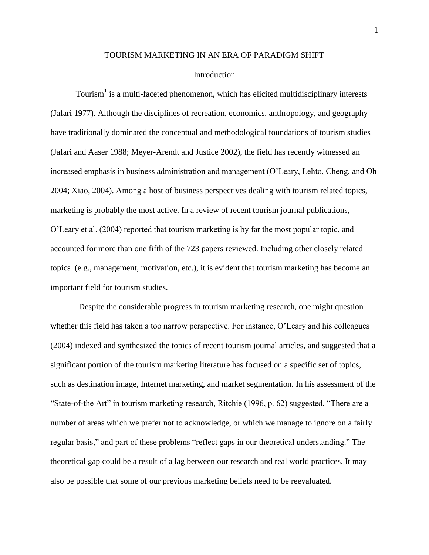# TOURISM MARKETING IN AN ERA OF PARADIGM SHIFT

## **Introduction**

Tourism<sup>1</sup> is a multi-faceted phenomenon, which has elicited multidisciplinary interests (Jafari 1977). Although the disciplines of recreation, economics, anthropology, and geography have traditionally dominated the conceptual and methodological foundations of tourism studies (Jafari and Aaser 1988; Meyer-Arendt and Justice 2002), the field has recently witnessed an increased emphasis in business administration and management (O'Leary, Lehto, Cheng, and Oh 2004; Xiao, 2004). Among a host of business perspectives dealing with tourism related topics, marketing is probably the most active. In a review of recent tourism journal publications, O'Leary et al. (2004) reported that tourism marketing is by far the most popular topic, and accounted for more than one fifth of the 723 papers reviewed. Including other closely related topics (e.g., management, motivation, etc.), it is evident that tourism marketing has become an important field for tourism studies.

Despite the considerable progress in tourism marketing research, one might question whether this field has taken a too narrow perspective. For instance, O'Leary and his colleagues (2004) indexed and synthesized the topics of recent tourism journal articles, and suggested that a significant portion of the tourism marketing literature has focused on a specific set of topics, such as destination image, Internet marketing, and market segmentation. In his assessment of the "State-of-the Art" in tourism marketing research, Ritchie (1996, p. 62) suggested, "There are a number of areas which we prefer not to acknowledge, or which we manage to ignore on a fairly regular basis," and part of these problems "reflect gaps in our theoretical understanding." The theoretical gap could be a result of a lag between our research and real world practices. It may also be possible that some of our previous marketing beliefs need to be reevaluated.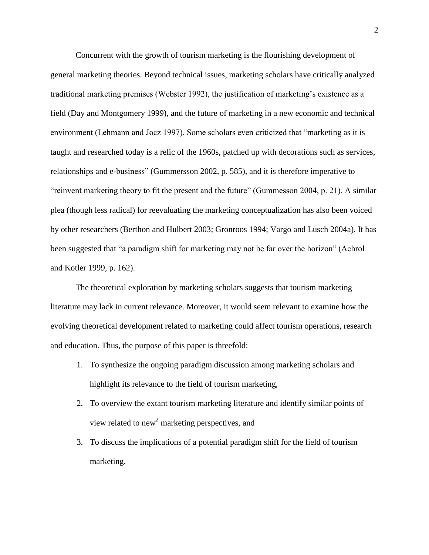Concurrent with the growth of tourism marketing is the flourishing development of general marketing theories. Beyond technical issues, marketing scholars have critically analyzed traditional marketing premises (Webster 1992), the justification of marketing's existence as a field (Day and Montgomery 1999), and the future of marketing in a new economic and technical environment (Lehmann and Jocz 1997). Some scholars even criticized that "marketing as it is taught and researched today is a relic of the 1960s, patched up with decorations such as services, relationships and e-business" (Gummersson 2002, p. 585), and it is therefore imperative to "reinvent marketing theory to fit the present and the future" (Gummesson 2004, p. 21). A similar plea (though less radical) for reevaluating the marketing conceptualization has also been voiced by other researchers (Berthon and Hulbert 2003; Gronroos 1994; Vargo and Lusch 2004a). It has been suggested that "a paradigm shift for marketing may not be far over the horizon" (Achrol and Kotler 1999, p. 162).

The theoretical exploration by marketing scholars suggests that tourism marketing literature may lack in current relevance. Moreover, it would seem relevant to examine how the evolving theoretical development related to marketing could affect tourism operations, research and education. Thus, the purpose of this paper is threefold:

- 1. To synthesize the ongoing paradigm discussion among marketing scholars and highlight its relevance to the field of tourism marketing,
- 2. To overview the extant tourism marketing literature and identify similar points of view related to new<sup>2</sup> marketing perspectives, and
- 3. To discuss the implications of a potential paradigm shift for the field of tourism marketing.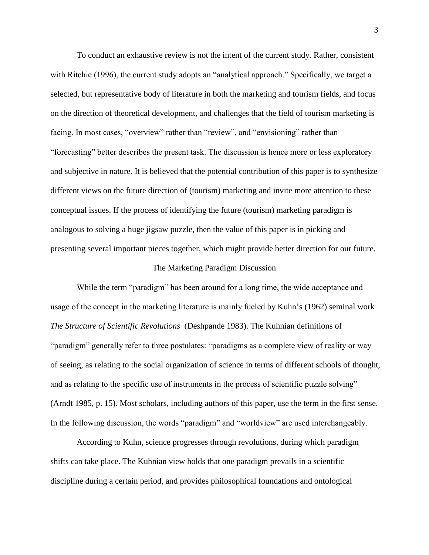To conduct an exhaustive review is not the intent of the current study. Rather, consistent with Ritchie (1996), the current study adopts an "analytical approach." Specifically, we target a selected, but representative body of literature in both the marketing and tourism fields, and focus on the direction of theoretical development, and challenges that the field of tourism marketing is facing. In most cases, "overview" rather than "review", and "envisioning" rather than "forecasting" better describes the present task. The discussion is hence more or less exploratory and subjective in nature. It is believed that the potential contribution of this paper is to synthesize different views on the future direction of (tourism) marketing and invite more attention to these conceptual issues. If the process of identifying the future (tourism) marketing paradigm is analogous to solving a huge jigsaw puzzle, then the value of this paper is in picking and presenting several important pieces together, which might provide better direction for our future.

### The Marketing Paradigm Discussion

While the term "paradigm" has been around for a long time, the wide acceptance and usage of the concept in the marketing literature is mainly fueled by Kuhn's (1962) seminal work *The Structure of Scientific Revolutions* (Deshpande 1983). The Kuhnian definitions of "paradigm" generally refer to three postulates: "paradigms as a complete view of reality or way of seeing, as relating to the social organization of science in terms of different schools of thought, and as relating to the specific use of instruments in the process of scientific puzzle solving" (Arndt 1985, p. 15). Most scholars, including authors of this paper, use the term in the first sense. In the following discussion, the words "paradigm" and "worldview" are used interchangeably.

According to Kuhn, science progresses through revolutions, during which paradigm shifts can take place. The Kuhnian view holds that one paradigm prevails in a scientific discipline during a certain period, and provides philosophical foundations and ontological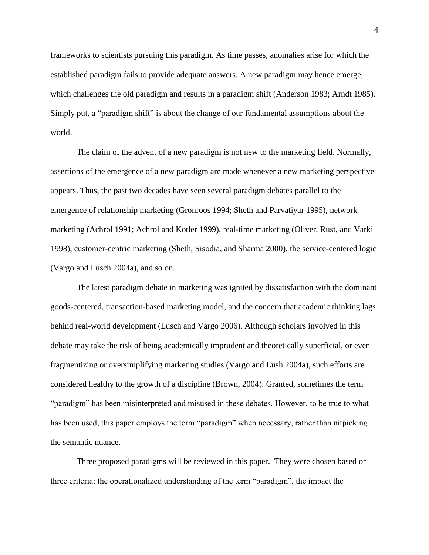frameworks to scientists pursuing this paradigm. As time passes, anomalies arise for which the established paradigm fails to provide adequate answers. A new paradigm may hence emerge, which challenges the old paradigm and results in a paradigm shift (Anderson 1983; Arndt 1985). Simply put, a "paradigm shift" is about the change of our fundamental assumptions about the world.

The claim of the advent of a new paradigm is not new to the marketing field. Normally, assertions of the emergence of a new paradigm are made whenever a new marketing perspective appears. Thus, the past two decades have seen several paradigm debates parallel to the emergence of relationship marketing (Gronroos 1994; Sheth and Parvatiyar 1995), network marketing (Achrol 1991; Achrol and Kotler 1999), real-time marketing (Oliver, Rust, and Varki 1998), customer-centric marketing (Sheth, Sisodia, and Sharma 2000), the service-centered logic (Vargo and Lusch 2004a), and so on.

The latest paradigm debate in marketing was ignited by dissatisfaction with the dominant goods-centered, transaction-based marketing model, and the concern that academic thinking lags behind real-world development (Lusch and Vargo 2006). Although scholars involved in this debate may take the risk of being academically imprudent and theoretically superficial, or even fragmentizing or oversimplifying marketing studies (Vargo and Lush 2004a), such efforts are considered healthy to the growth of a discipline (Brown, 2004). Granted, sometimes the term "paradigm" has been misinterpreted and misused in these debates. However, to be true to what has been used, this paper employs the term "paradigm" when necessary, rather than nitpicking the semantic nuance.

Three proposed paradigms will be reviewed in this paper. They were chosen based on three criteria: the operationalized understanding of the term "paradigm", the impact the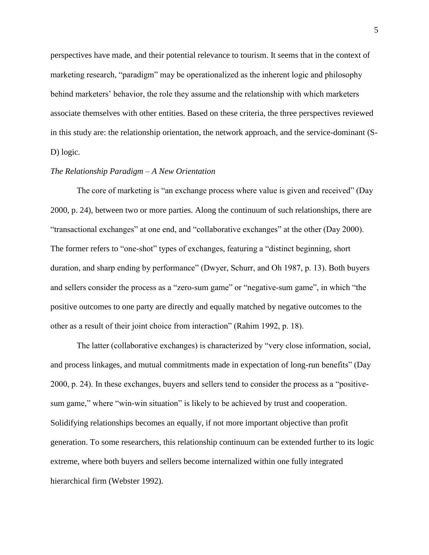perspectives have made, and their potential relevance to tourism. It seems that in the context of marketing research, "paradigm" may be operationalized as the inherent logic and philosophy behind marketers' behavior, the role they assume and the relationship with which marketers associate themselves with other entities. Based on these criteria, the three perspectives reviewed in this study are: the relationship orientation, the network approach, and the service-dominant (S-D) logic.

# *The Relationship Paradigm – A New Orientation*

The core of marketing is "an exchange process where value is given and received" (Day 2000, p. 24), between two or more parties. Along the continuum of such relationships, there are "transactional exchanges" at one end, and "collaborative exchanges" at the other (Day 2000). The former refers to "one-shot" types of exchanges, featuring a "distinct beginning, short duration, and sharp ending by performance" (Dwyer, Schurr, and Oh 1987, p. 13). Both buyers and sellers consider the process as a "zero-sum game" or "negative-sum game", in which "the positive outcomes to one party are directly and equally matched by negative outcomes to the other as a result of their joint choice from interaction" (Rahim 1992, p. 18).

The latter (collaborative exchanges) is characterized by "very close information, social, and process linkages, and mutual commitments made in expectation of long-run benefits" (Day  $2000$ , p. 24). In these exchanges, buyers and sellers tend to consider the process as a "positivesum game," where "win-win situation" is likely to be achieved by trust and cooperation. Solidifying relationships becomes an equally, if not more important objective than profit generation. To some researchers, this relationship continuum can be extended further to its logic extreme, where both buyers and sellers become internalized within one fully integrated hierarchical firm (Webster 1992).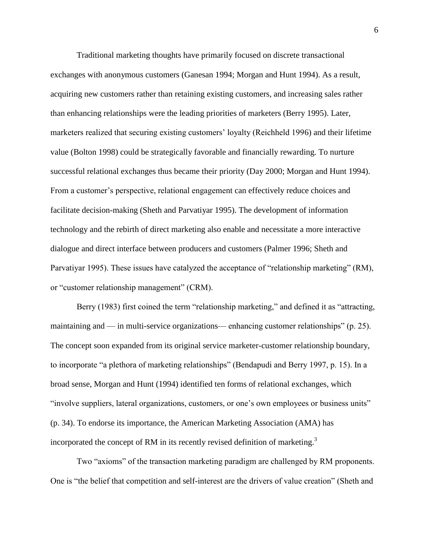Traditional marketing thoughts have primarily focused on discrete transactional exchanges with anonymous customers (Ganesan 1994; Morgan and Hunt 1994). As a result, acquiring new customers rather than retaining existing customers, and increasing sales rather than enhancing relationships were the leading priorities of marketers (Berry 1995). Later, marketers realized that securing existing customers' loyalty (Reichheld 1996) and their lifetime value (Bolton 1998) could be strategically favorable and financially rewarding. To nurture successful relational exchanges thus became their priority (Day 2000; Morgan and Hunt 1994). From a customer's perspective, relational engagement can effectively reduce choices and facilitate decision-making (Sheth and Parvatiyar 1995). The development of information technology and the rebirth of direct marketing also enable and necessitate a more interactive dialogue and direct interface between producers and customers (Palmer 1996; Sheth and Parvatiyar 1995). These issues have catalyzed the acceptance of "relationship marketing" (RM), or "customer relationship management" (CRM).

Berry  $(1983)$  first coined the term "relationship marketing," and defined it as "attracting, maintaining and — in multi-service organizations— enhancing customer relationships" (p. 25). The concept soon expanded from its original service marketer-customer relationship boundary, to incorporate "a plethora of marketing relationships" (Bendapudi and Berry 1997, p. 15). In a broad sense, Morgan and Hunt (1994) identified ten forms of relational exchanges, which "involve suppliers, lateral organizations, customers, or one's own employees or business units" (p. 34). To endorse its importance, the American Marketing Association (AMA) has incorporated the concept of RM in its recently revised definition of marketing.<sup>3</sup>

Two "axioms" of the transaction marketing paradigm are challenged by RM proponents. One is "the belief that competition and self-interest are the drivers of value creation" (Sheth and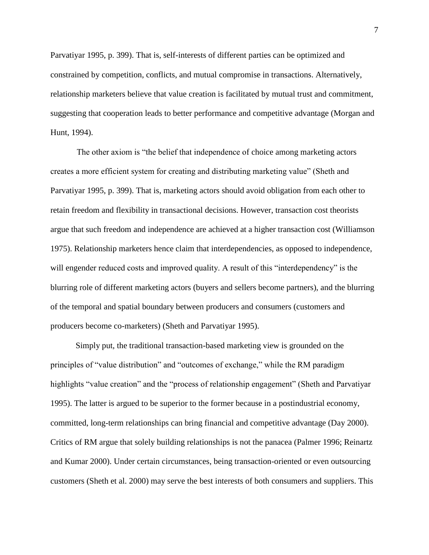Parvatiyar 1995, p. 399). That is, self-interests of different parties can be optimized and constrained by competition, conflicts, and mutual compromise in transactions. Alternatively, relationship marketers believe that value creation is facilitated by mutual trust and commitment, suggesting that cooperation leads to better performance and competitive advantage (Morgan and Hunt, 1994).

The other axiom is "the belief that independence of choice among marketing actors creates a more efficient system for creating and distributing marketing value‖ (Sheth and Parvatiyar 1995, p. 399). That is, marketing actors should avoid obligation from each other to retain freedom and flexibility in transactional decisions. However, transaction cost theorists argue that such freedom and independence are achieved at a higher transaction cost (Williamson 1975). Relationship marketers hence claim that interdependencies, as opposed to independence, will engender reduced costs and improved quality. A result of this "interdependency" is the blurring role of different marketing actors (buyers and sellers become partners), and the blurring of the temporal and spatial boundary between producers and consumers (customers and producers become co-marketers) (Sheth and Parvatiyar 1995).

Simply put, the traditional transaction-based marketing view is grounded on the principles of "value distribution" and "outcomes of exchange," while the RM paradigm highlights "value creation" and the "process of relationship engagement" (Sheth and Parvatiyar 1995). The latter is argued to be superior to the former because in a postindustrial economy, committed, long-term relationships can bring financial and competitive advantage (Day 2000). Critics of RM argue that solely building relationships is not the panacea (Palmer 1996; Reinartz and Kumar 2000). Under certain circumstances, being transaction-oriented or even outsourcing customers (Sheth et al. 2000) may serve the best interests of both consumers and suppliers. This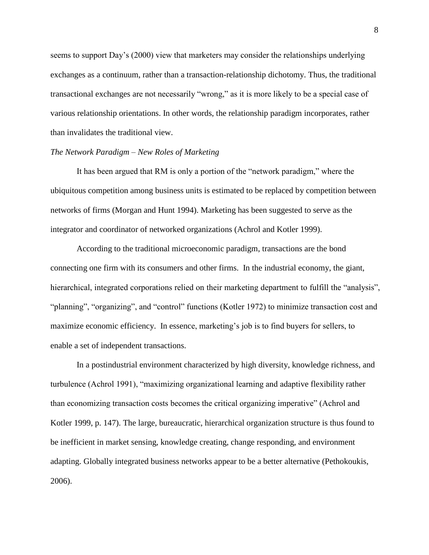seems to support Day's (2000) view that marketers may consider the relationships underlying exchanges as a continuum, rather than a transaction-relationship dichotomy. Thus, the traditional transactional exchanges are not necessarily "wrong," as it is more likely to be a special case of various relationship orientations. In other words, the relationship paradigm incorporates, rather than invalidates the traditional view.

## *The Network Paradigm – New Roles of Marketing*

It has been argued that RM is only a portion of the "network paradigm," where the ubiquitous competition among business units is estimated to be replaced by competition between networks of firms (Morgan and Hunt 1994). Marketing has been suggested to serve as the integrator and coordinator of networked organizations (Achrol and Kotler 1999).

According to the traditional microeconomic paradigm, transactions are the bond connecting one firm with its consumers and other firms. In the industrial economy, the giant, hierarchical, integrated corporations relied on their marketing department to fulfill the "analysis", "planning", "organizing", and "control" functions (Kotler 1972) to minimize transaction cost and maximize economic efficiency. In essence, marketing's job is to find buyers for sellers, to enable a set of independent transactions.

In a postindustrial environment characterized by high diversity, knowledge richness, and turbulence (Achrol 1991), "maximizing organizational learning and adaptive flexibility rather than economizing transaction costs becomes the critical organizing imperative" (Achrol and Kotler 1999, p. 147). The large, bureaucratic, hierarchical organization structure is thus found to be inefficient in market sensing, knowledge creating, change responding, and environment adapting. Globally integrated business networks appear to be a better alternative (Pethokoukis, 2006).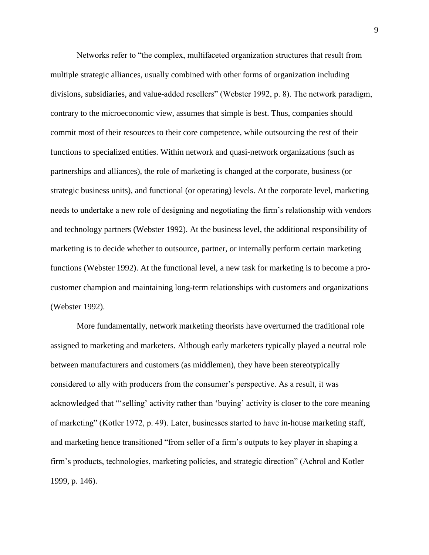Networks refer to "the complex, multifaceted organization structures that result from multiple strategic alliances, usually combined with other forms of organization including divisions, subsidiaries, and value-added resellers" (Webster 1992, p. 8). The network paradigm, contrary to the microeconomic view, assumes that simple is best. Thus, companies should commit most of their resources to their core competence, while outsourcing the rest of their functions to specialized entities. Within network and quasi-network organizations (such as partnerships and alliances), the role of marketing is changed at the corporate, business (or strategic business units), and functional (or operating) levels. At the corporate level, marketing needs to undertake a new role of designing and negotiating the firm's relationship with vendors and technology partners (Webster 1992). At the business level, the additional responsibility of marketing is to decide whether to outsource, partner, or internally perform certain marketing functions (Webster 1992). At the functional level, a new task for marketing is to become a procustomer champion and maintaining long-term relationships with customers and organizations (Webster 1992).

More fundamentally, network marketing theorists have overturned the traditional role assigned to marketing and marketers. Although early marketers typically played a neutral role between manufacturers and customers (as middlemen), they have been stereotypically considered to ally with producers from the consumer's perspective. As a result, it was acknowledged that "'selling' activity rather than 'buying' activity is closer to the core meaning of marketing" (Kotler 1972, p. 49). Later, businesses started to have in-house marketing staff, and marketing hence transitioned "from seller of a firm's outputs to key player in shaping a firm's products, technologies, marketing policies, and strategic direction" (Achrol and Kotler 1999, p. 146).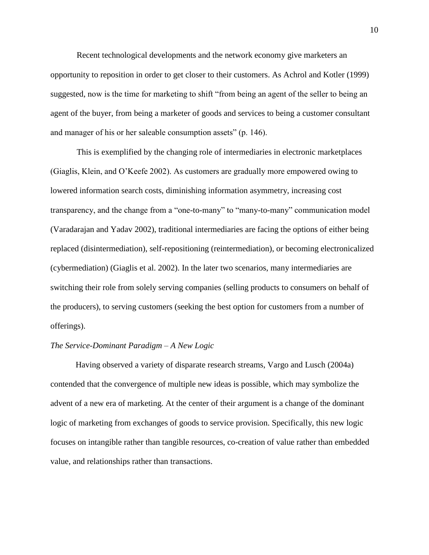Recent technological developments and the network economy give marketers an opportunity to reposition in order to get closer to their customers. As Achrol and Kotler (1999) suggested, now is the time for marketing to shift "from being an agent of the seller to being an agent of the buyer, from being a marketer of goods and services to being a customer consultant and manager of his or her saleable consumption assets" (p. 146).

This is exemplified by the changing role of intermediaries in electronic marketplaces (Giaglis, Klein, and O'Keefe 2002). As customers are gradually more empowered owing to lowered information search costs, diminishing information asymmetry, increasing cost transparency, and the change from a "one-to-many" to "many-to-many" communication model (Varadarajan and Yadav 2002), traditional intermediaries are facing the options of either being replaced (disintermediation), self-repositioning (reintermediation), or becoming electronicalized (cybermediation) (Giaglis et al. 2002). In the later two scenarios, many intermediaries are switching their role from solely serving companies (selling products to consumers on behalf of the producers), to serving customers (seeking the best option for customers from a number of offerings).

# *The Service-Dominant Paradigm – A New Logic*

Having observed a variety of disparate research streams, Vargo and Lusch (2004a) contended that the convergence of multiple new ideas is possible, which may symbolize the advent of a new era of marketing. At the center of their argument is a change of the dominant logic of marketing from exchanges of goods to service provision. Specifically, this new logic focuses on intangible rather than tangible resources, co-creation of value rather than embedded value, and relationships rather than transactions.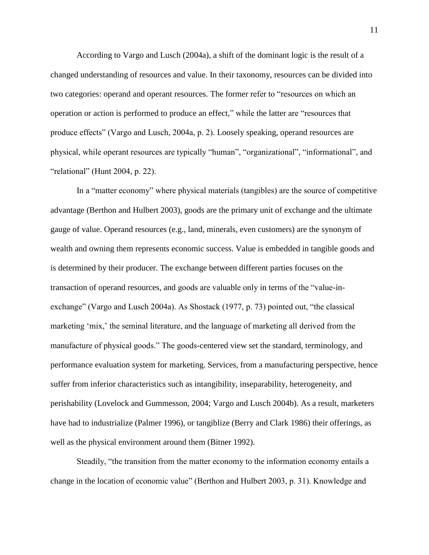According to Vargo and Lusch (2004a), a shift of the dominant logic is the result of a changed understanding of resources and value. In their taxonomy, resources can be divided into two categories: operand and operant resources. The former refer to "resources on which an operation or action is performed to produce an effect," while the latter are "resources that produce effects‖ (Vargo and Lusch, 2004a, p. 2). Loosely speaking, operand resources are physical, while operant resources are typically "human", "organizational", "informational", and "relational" (Hunt 2004, p. 22).

In a "matter economy" where physical materials (tangibles) are the source of competitive advantage (Berthon and Hulbert 2003), goods are the primary unit of exchange and the ultimate gauge of value. Operand resources (e.g., land, minerals, even customers) are the synonym of wealth and owning them represents economic success. Value is embedded in tangible goods and is determined by their producer. The exchange between different parties focuses on the transaction of operand resources, and goods are valuable only in terms of the "value-inexchange" (Vargo and Lusch 2004a). As Shostack (1977, p. 73) pointed out, "the classical marketing 'mix,' the seminal literature, and the language of marketing all derived from the manufacture of physical goods." The goods-centered view set the standard, terminology, and performance evaluation system for marketing. Services, from a manufacturing perspective, hence suffer from inferior characteristics such as intangibility, inseparability, heterogeneity, and perishability (Lovelock and Gummesson, 2004; Vargo and Lusch 2004b). As a result, marketers have had to industrialize (Palmer 1996), or tangiblize (Berry and Clark 1986) their offerings, as well as the physical environment around them (Bitner 1992).

Steadily, "the transition from the matter economy to the information economy entails a change in the location of economic value" (Berthon and Hulbert 2003, p. 31). Knowledge and

11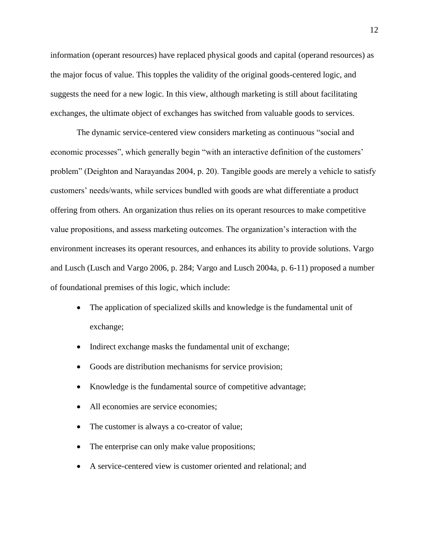information (operant resources) have replaced physical goods and capital (operand resources) as the major focus of value. This topples the validity of the original goods-centered logic, and suggests the need for a new logic. In this view, although marketing is still about facilitating exchanges, the ultimate object of exchanges has switched from valuable goods to services.

The dynamic service-centered view considers marketing as continuous "social and economic processes", which generally begin "with an interactive definition of the customers' problem" (Deighton and Narayandas 2004, p. 20). Tangible goods are merely a vehicle to satisfy customers' needs/wants, while services bundled with goods are what differentiate a product offering from others. An organization thus relies on its operant resources to make competitive value propositions, and assess marketing outcomes. The organization's interaction with the environment increases its operant resources, and enhances its ability to provide solutions. Vargo and Lusch (Lusch and Vargo 2006, p. 284; Vargo and Lusch 2004a, p. 6-11) proposed a number of foundational premises of this logic, which include:

- The application of specialized skills and knowledge is the fundamental unit of exchange;
- Indirect exchange masks the fundamental unit of exchange;
- Goods are distribution mechanisms for service provision;
- Knowledge is the fundamental source of competitive advantage;
- All economies are service economies;
- The customer is always a co-creator of value;
- The enterprise can only make value propositions;
- A service-centered view is customer oriented and relational; and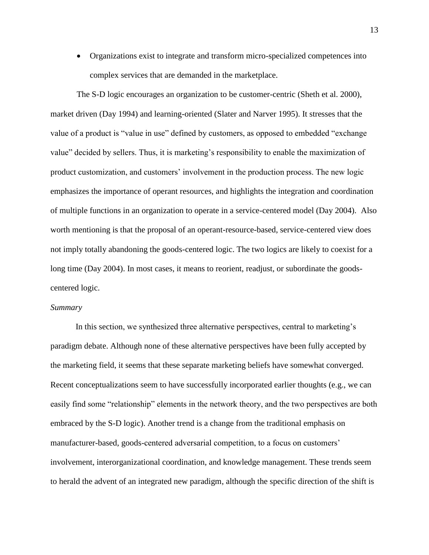Organizations exist to integrate and transform micro-specialized competences into complex services that are demanded in the marketplace.

The S-D logic encourages an organization to be customer-centric (Sheth et al. 2000), market driven (Day 1994) and learning-oriented (Slater and Narver 1995). It stresses that the value of a product is "value in use" defined by customers, as opposed to embedded "exchange" value" decided by sellers. Thus, it is marketing's responsibility to enable the maximization of product customization, and customers' involvement in the production process. The new logic emphasizes the importance of operant resources, and highlights the integration and coordination of multiple functions in an organization to operate in a service-centered model (Day 2004). Also worth mentioning is that the proposal of an operant-resource-based, service-centered view does not imply totally abandoning the goods-centered logic. The two logics are likely to coexist for a long time (Day 2004). In most cases, it means to reorient, readjust, or subordinate the goodscentered logic.

#### *Summary*

In this section, we synthesized three alternative perspectives, central to marketing's paradigm debate. Although none of these alternative perspectives have been fully accepted by the marketing field, it seems that these separate marketing beliefs have somewhat converged. Recent conceptualizations seem to have successfully incorporated earlier thoughts (e.g., we can easily find some "relationship" elements in the network theory, and the two perspectives are both embraced by the S-D logic). Another trend is a change from the traditional emphasis on manufacturer-based, goods-centered adversarial competition, to a focus on customers' involvement, interorganizational coordination, and knowledge management. These trends seem to herald the advent of an integrated new paradigm, although the specific direction of the shift is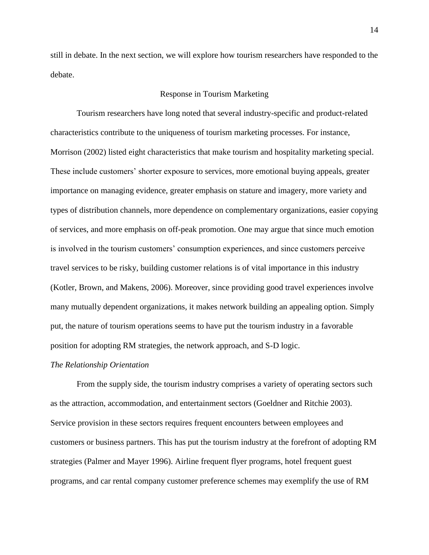still in debate. In the next section, we will explore how tourism researchers have responded to the debate.

### Response in Tourism Marketing

Tourism researchers have long noted that several industry-specific and product-related characteristics contribute to the uniqueness of tourism marketing processes. For instance, Morrison (2002) listed eight characteristics that make tourism and hospitality marketing special. These include customers' shorter exposure to services, more emotional buying appeals, greater importance on managing evidence, greater emphasis on stature and imagery, more variety and types of distribution channels, more dependence on complementary organizations, easier copying of services, and more emphasis on off-peak promotion. One may argue that since much emotion is involved in the tourism customers' consumption experiences, and since customers perceive travel services to be risky, building customer relations is of vital importance in this industry (Kotler, Brown, and Makens, 2006). Moreover, since providing good travel experiences involve many mutually dependent organizations, it makes network building an appealing option. Simply put, the nature of tourism operations seems to have put the tourism industry in a favorable position for adopting RM strategies, the network approach, and S-D logic.

#### *The Relationship Orientation*

From the supply side, the tourism industry comprises a variety of operating sectors such as the attraction, accommodation, and entertainment sectors (Goeldner and Ritchie 2003). Service provision in these sectors requires frequent encounters between employees and customers or business partners. This has put the tourism industry at the forefront of adopting RM strategies (Palmer and Mayer 1996). Airline frequent flyer programs, hotel frequent guest programs, and car rental company customer preference schemes may exemplify the use of RM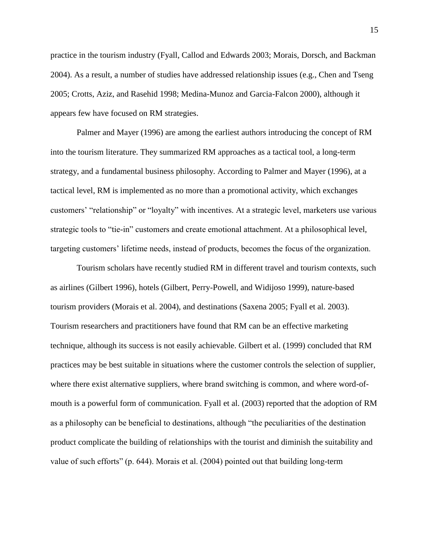practice in the tourism industry (Fyall, Callod and Edwards 2003; Morais, Dorsch, and Backman 2004). As a result, a number of studies have addressed relationship issues (e.g., Chen and Tseng 2005; Crotts, Aziz, and Rasehid 1998; Medina-Munoz and Garcia-Falcon 2000), although it appears few have focused on RM strategies.

Palmer and Mayer (1996) are among the earliest authors introducing the concept of RM into the tourism literature. They summarized RM approaches as a tactical tool, a long-term strategy, and a fundamental business philosophy. According to Palmer and Mayer (1996), at a tactical level, RM is implemented as no more than a promotional activity, which exchanges customers' "relationship" or "loyalty" with incentives. At a strategic level, marketers use various strategic tools to "tie-in" customers and create emotional attachment. At a philosophical level, targeting customers' lifetime needs, instead of products, becomes the focus of the organization.

Tourism scholars have recently studied RM in different travel and tourism contexts, such as airlines (Gilbert 1996), hotels (Gilbert, Perry-Powell, and Widijoso 1999), nature-based tourism providers (Morais et al. 2004), and destinations (Saxena 2005; Fyall et al. 2003). Tourism researchers and practitioners have found that RM can be an effective marketing technique, although its success is not easily achievable. Gilbert et al. (1999) concluded that RM practices may be best suitable in situations where the customer controls the selection of supplier, where there exist alternative suppliers, where brand switching is common, and where word-ofmouth is a powerful form of communication. Fyall et al. (2003) reported that the adoption of RM as a philosophy can be beneficial to destinations, although "the peculiarities of the destination product complicate the building of relationships with the tourist and diminish the suitability and value of such efforts" (p. 644). Morais et al.  $(2004)$  pointed out that building long-term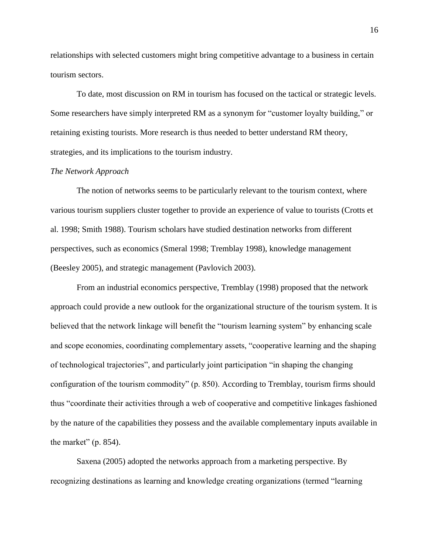relationships with selected customers might bring competitive advantage to a business in certain tourism sectors.

To date, most discussion on RM in tourism has focused on the tactical or strategic levels. Some researchers have simply interpreted RM as a synonym for "customer loyalty building," or retaining existing tourists. More research is thus needed to better understand RM theory, strategies, and its implications to the tourism industry.

# *The Network Approach*

The notion of networks seems to be particularly relevant to the tourism context, where various tourism suppliers cluster together to provide an experience of value to tourists (Crotts et al. 1998; Smith 1988). Tourism scholars have studied destination networks from different perspectives, such as economics (Smeral 1998; Tremblay 1998), knowledge management (Beesley 2005), and strategic management (Pavlovich 2003).

From an industrial economics perspective, Tremblay (1998) proposed that the network approach could provide a new outlook for the organizational structure of the tourism system. It is believed that the network linkage will benefit the "tourism learning system" by enhancing scale and scope economies, coordinating complementary assets, "cooperative learning and the shaping of technological trajectories", and particularly joint participation "in shaping the changing configuration of the tourism commodity" (p. 850). According to Tremblay, tourism firms should thus ―coordinate their activities through a web of cooperative and competitive linkages fashioned by the nature of the capabilities they possess and the available complementary inputs available in the market"  $(p. 854)$ .

Saxena (2005) adopted the networks approach from a marketing perspective. By recognizing destinations as learning and knowledge creating organizations (termed "learning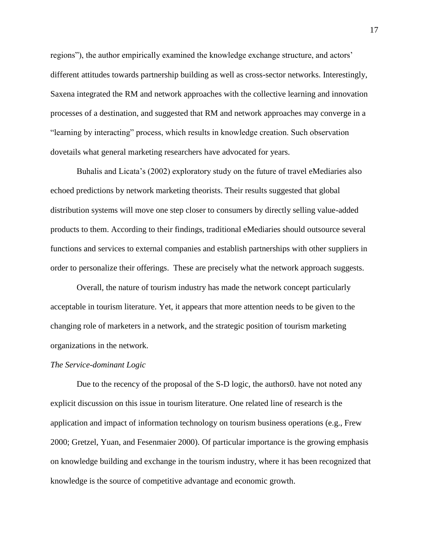regions"), the author empirically examined the knowledge exchange structure, and actors' different attitudes towards partnership building as well as cross-sector networks. Interestingly, Saxena integrated the RM and network approaches with the collective learning and innovation processes of a destination, and suggested that RM and network approaches may converge in a ―learning by interacting‖ process, which results in knowledge creation. Such observation dovetails what general marketing researchers have advocated for years.

Buhalis and Licata's (2002) exploratory study on the future of travel eMediaries also echoed predictions by network marketing theorists. Their results suggested that global distribution systems will move one step closer to consumers by directly selling value-added products to them. According to their findings, traditional eMediaries should outsource several functions and services to external companies and establish partnerships with other suppliers in order to personalize their offerings. These are precisely what the network approach suggests.

Overall, the nature of tourism industry has made the network concept particularly acceptable in tourism literature. Yet, it appears that more attention needs to be given to the changing role of marketers in a network, and the strategic position of tourism marketing organizations in the network.

#### *The Service-dominant Logic*

Due to the recency of the proposal of the S-D logic, the authors0. have not noted any explicit discussion on this issue in tourism literature. One related line of research is the application and impact of information technology on tourism business operations (e.g., Frew 2000; Gretzel, Yuan, and Fesenmaier 2000). Of particular importance is the growing emphasis on knowledge building and exchange in the tourism industry, where it has been recognized that knowledge is the source of competitive advantage and economic growth.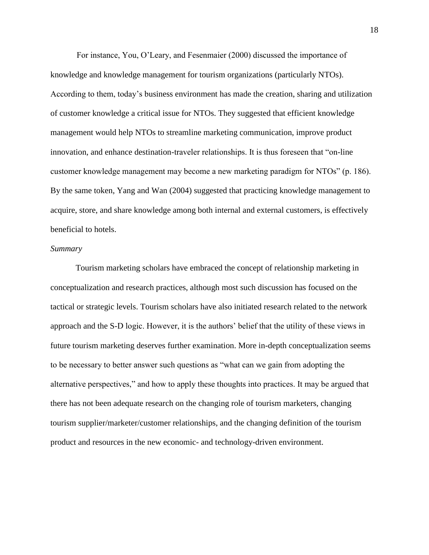For instance, You, O'Leary, and Fesenmaier (2000) discussed the importance of knowledge and knowledge management for tourism organizations (particularly NTOs). According to them, today's business environment has made the creation, sharing and utilization of customer knowledge a critical issue for NTOs. They suggested that efficient knowledge management would help NTOs to streamline marketing communication, improve product innovation, and enhance destination-traveler relationships. It is thus foreseen that "on-line" customer knowledge management may become a new marketing paradigm for NTOs" (p. 186). By the same token, Yang and Wan (2004) suggested that practicing knowledge management to acquire, store, and share knowledge among both internal and external customers, is effectively beneficial to hotels.

## *Summary*

Tourism marketing scholars have embraced the concept of relationship marketing in conceptualization and research practices, although most such discussion has focused on the tactical or strategic levels. Tourism scholars have also initiated research related to the network approach and the S-D logic. However, it is the authors' belief that the utility of these views in future tourism marketing deserves further examination. More in-depth conceptualization seems to be necessary to better answer such questions as "what can we gain from adopting the alternative perspectives," and how to apply these thoughts into practices. It may be argued that there has not been adequate research on the changing role of tourism marketers, changing tourism supplier/marketer/customer relationships, and the changing definition of the tourism product and resources in the new economic- and technology-driven environment.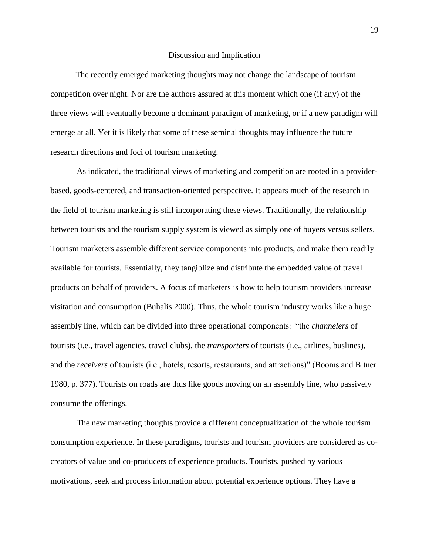#### Discussion and Implication

The recently emerged marketing thoughts may not change the landscape of tourism competition over night. Nor are the authors assured at this moment which one (if any) of the three views will eventually become a dominant paradigm of marketing, or if a new paradigm will emerge at all. Yet it is likely that some of these seminal thoughts may influence the future research directions and foci of tourism marketing.

As indicated, the traditional views of marketing and competition are rooted in a providerbased, goods-centered, and transaction-oriented perspective. It appears much of the research in the field of tourism marketing is still incorporating these views. Traditionally, the relationship between tourists and the tourism supply system is viewed as simply one of buyers versus sellers. Tourism marketers assemble different service components into products, and make them readily available for tourists. Essentially, they tangiblize and distribute the embedded value of travel products on behalf of providers. A focus of marketers is how to help tourism providers increase visitation and consumption (Buhalis 2000). Thus, the whole tourism industry works like a huge assembly line, which can be divided into three operational components: "the *channelers* of tourists (i.e., travel agencies, travel clubs), the *transporters* of tourists (i.e., airlines, buslines), and the *receivers* of tourists (i.e., hotels, resorts, restaurants, and attractions)" (Booms and Bitner 1980, p. 377). Tourists on roads are thus like goods moving on an assembly line, who passively consume the offerings.

The new marketing thoughts provide a different conceptualization of the whole tourism consumption experience. In these paradigms, tourists and tourism providers are considered as cocreators of value and co-producers of experience products. Tourists, pushed by various motivations, seek and process information about potential experience options. They have a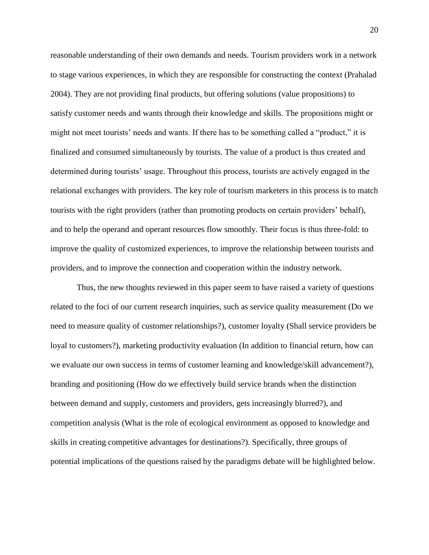reasonable understanding of their own demands and needs. Tourism providers work in a network to stage various experiences, in which they are responsible for constructing the context (Prahalad 2004). They are not providing final products, but offering solutions (value propositions) to satisfy customer needs and wants through their knowledge and skills. The propositions might or might not meet tourists' needs and wants. If there has to be something called a "product," it is finalized and consumed simultaneously by tourists. The value of a product is thus created and determined during tourists' usage. Throughout this process, tourists are actively engaged in the relational exchanges with providers. The key role of tourism marketers in this process is to match tourists with the right providers (rather than promoting products on certain providers' behalf), and to help the operand and operant resources flow smoothly. Their focus is thus three-fold: to improve the quality of customized experiences, to improve the relationship between tourists and providers, and to improve the connection and cooperation within the industry network.

Thus, the new thoughts reviewed in this paper seem to have raised a variety of questions related to the foci of our current research inquiries, such as service quality measurement (Do we need to measure quality of customer relationships?), customer loyalty (Shall service providers be loyal to customers?), marketing productivity evaluation (In addition to financial return, how can we evaluate our own success in terms of customer learning and knowledge/skill advancement?), branding and positioning (How do we effectively build service brands when the distinction between demand and supply, customers and providers, gets increasingly blurred?), and competition analysis (What is the role of ecological environment as opposed to knowledge and skills in creating competitive advantages for destinations?). Specifically, three groups of potential implications of the questions raised by the paradigms debate will be highlighted below.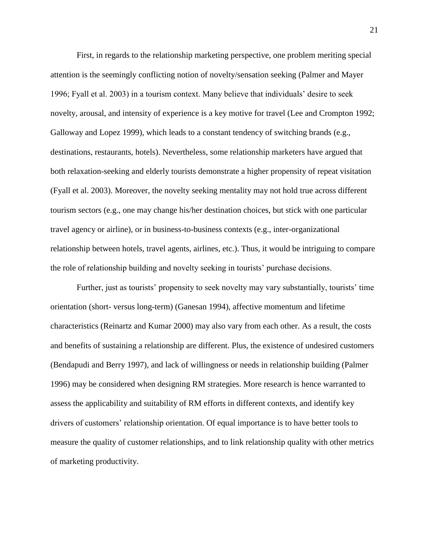First, in regards to the relationship marketing perspective, one problem meriting special attention is the seemingly conflicting notion of novelty/sensation seeking (Palmer and Mayer 1996; Fyall et al. 2003) in a tourism context. Many believe that individuals' desire to seek novelty, arousal, and intensity of experience is a key motive for travel (Lee and Crompton 1992; Galloway and Lopez 1999), which leads to a constant tendency of switching brands (e.g., destinations, restaurants, hotels). Nevertheless, some relationship marketers have argued that both relaxation-seeking and elderly tourists demonstrate a higher propensity of repeat visitation (Fyall et al. 2003). Moreover, the novelty seeking mentality may not hold true across different tourism sectors (e.g., one may change his/her destination choices, but stick with one particular travel agency or airline), or in business-to-business contexts (e.g., inter-organizational relationship between hotels, travel agents, airlines, etc.). Thus, it would be intriguing to compare the role of relationship building and novelty seeking in tourists' purchase decisions.

Further, just as tourists' propensity to seek novelty may vary substantially, tourists' time orientation (short- versus long-term) (Ganesan 1994), affective momentum and lifetime characteristics (Reinartz and Kumar 2000) may also vary from each other. As a result, the costs and benefits of sustaining a relationship are different. Plus, the existence of undesired customers (Bendapudi and Berry 1997), and lack of willingness or needs in relationship building (Palmer 1996) may be considered when designing RM strategies. More research is hence warranted to assess the applicability and suitability of RM efforts in different contexts, and identify key drivers of customers' relationship orientation. Of equal importance is to have better tools to measure the quality of customer relationships, and to link relationship quality with other metrics of marketing productivity.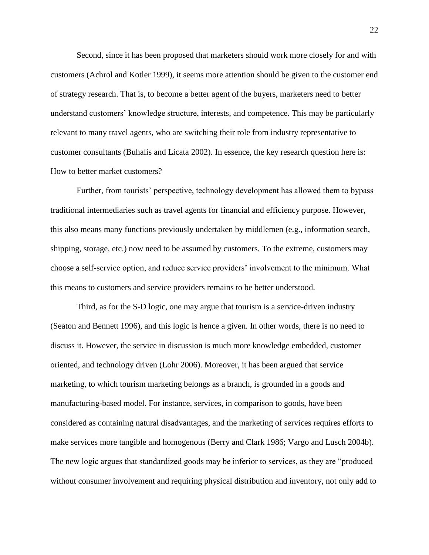Second, since it has been proposed that marketers should work more closely for and with customers (Achrol and Kotler 1999), it seems more attention should be given to the customer end of strategy research. That is, to become a better agent of the buyers, marketers need to better understand customers' knowledge structure, interests, and competence. This may be particularly relevant to many travel agents, who are switching their role from industry representative to customer consultants (Buhalis and Licata 2002). In essence, the key research question here is: How to better market customers?

Further, from tourists' perspective, technology development has allowed them to bypass traditional intermediaries such as travel agents for financial and efficiency purpose. However, this also means many functions previously undertaken by middlemen (e.g., information search, shipping, storage, etc.) now need to be assumed by customers. To the extreme, customers may choose a self-service option, and reduce service providers' involvement to the minimum. What this means to customers and service providers remains to be better understood.

Third, as for the S-D logic, one may argue that tourism is a service-driven industry (Seaton and Bennett 1996), and this logic is hence a given. In other words, there is no need to discuss it. However, the service in discussion is much more knowledge embedded, customer oriented, and technology driven (Lohr 2006). Moreover, it has been argued that service marketing, to which tourism marketing belongs as a branch, is grounded in a goods and manufacturing-based model. For instance, services, in comparison to goods, have been considered as containing natural disadvantages, and the marketing of services requires efforts to make services more tangible and homogenous (Berry and Clark 1986; Vargo and Lusch 2004b). The new logic argues that standardized goods may be inferior to services, as they are "produced" without consumer involvement and requiring physical distribution and inventory, not only add to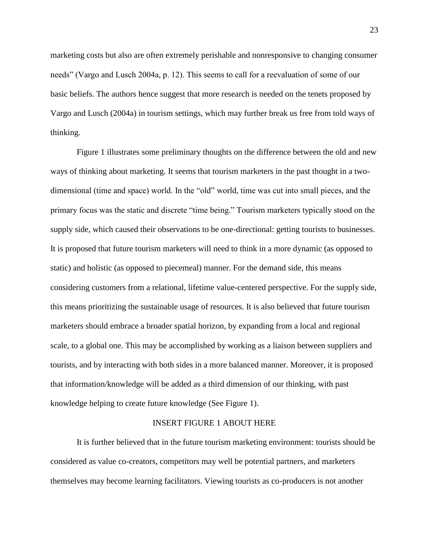marketing costs but also are often extremely perishable and nonresponsive to changing consumer needs" (Vargo and Lusch 2004a, p. 12). This seems to call for a reevaluation of some of our basic beliefs. The authors hence suggest that more research is needed on the tenets proposed by Vargo and Lusch (2004a) in tourism settings, which may further break us free from told ways of thinking.

Figure 1 illustrates some preliminary thoughts on the difference between the old and new ways of thinking about marketing. It seems that tourism marketers in the past thought in a twodimensional (time and space) world. In the "old" world, time was cut into small pieces, and the primary focus was the static and discrete "time being." Tourism marketers typically stood on the supply side, which caused their observations to be one-directional: getting tourists to businesses. It is proposed that future tourism marketers will need to think in a more dynamic (as opposed to static) and holistic (as opposed to piecemeal) manner. For the demand side, this means considering customers from a relational, lifetime value-centered perspective. For the supply side, this means prioritizing the sustainable usage of resources. It is also believed that future tourism marketers should embrace a broader spatial horizon, by expanding from a local and regional scale, to a global one. This may be accomplished by working as a liaison between suppliers and tourists, and by interacting with both sides in a more balanced manner. Moreover, it is proposed that information/knowledge will be added as a third dimension of our thinking, with past knowledge helping to create future knowledge (See Figure 1).

## INSERT FIGURE 1 ABOUT HERE

It is further believed that in the future tourism marketing environment: tourists should be considered as value co-creators, competitors may well be potential partners, and marketers themselves may become learning facilitators. Viewing tourists as co-producers is not another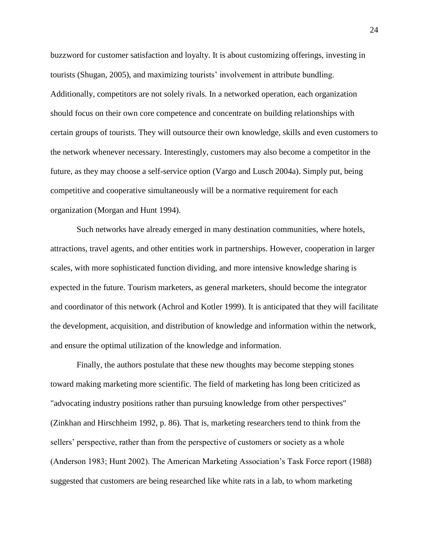buzzword for customer satisfaction and loyalty. It is about customizing offerings, investing in tourists (Shugan, 2005), and maximizing tourists' involvement in attribute bundling. Additionally, competitors are not solely rivals. In a networked operation, each organization should focus on their own core competence and concentrate on building relationships with certain groups of tourists. They will outsource their own knowledge, skills and even customers to the network whenever necessary. Interestingly, customers may also become a competitor in the future, as they may choose a self-service option (Vargo and Lusch 2004a). Simply put, being competitive and cooperative simultaneously will be a normative requirement for each organization (Morgan and Hunt 1994).

Such networks have already emerged in many destination communities, where hotels, attractions, travel agents, and other entities work in partnerships. However, cooperation in larger scales, with more sophisticated function dividing, and more intensive knowledge sharing is expected in the future. Tourism marketers, as general marketers, should become the integrator and coordinator of this network (Achrol and Kotler 1999). It is anticipated that they will facilitate the development, acquisition, and distribution of knowledge and information within the network, and ensure the optimal utilization of the knowledge and information.

Finally, the authors postulate that these new thoughts may become stepping stones toward making marketing more scientific. The field of marketing has long been criticized as "advocating industry positions rather than pursuing knowledge from other perspectives" (Zinkhan and Hirschheim 1992, p. 86). That is, marketing researchers tend to think from the sellers' perspective, rather than from the perspective of customers or society as a whole (Anderson 1983; Hunt 2002). The American Marketing Association's Task Force report (1988) suggested that customers are being researched like white rats in a lab, to whom marketing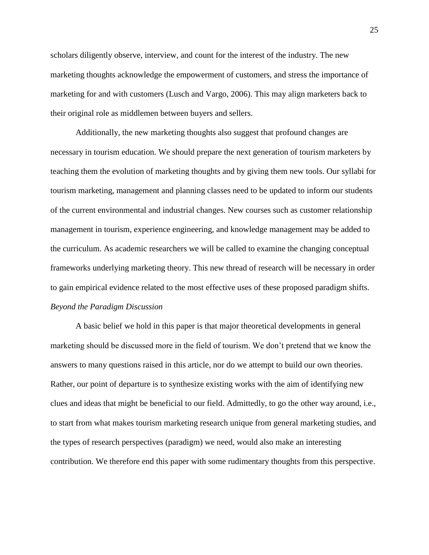scholars diligently observe, interview, and count for the interest of the industry. The new marketing thoughts acknowledge the empowerment of customers, and stress the importance of marketing for and with customers (Lusch and Vargo, 2006). This may align marketers back to their original role as middlemen between buyers and sellers.

Additionally, the new marketing thoughts also suggest that profound changes are necessary in tourism education. We should prepare the next generation of tourism marketers by teaching them the evolution of marketing thoughts and by giving them new tools. Our syllabi for tourism marketing, management and planning classes need to be updated to inform our students of the current environmental and industrial changes. New courses such as customer relationship management in tourism, experience engineering, and knowledge management may be added to the curriculum. As academic researchers we will be called to examine the changing conceptual frameworks underlying marketing theory. This new thread of research will be necessary in order to gain empirical evidence related to the most effective uses of these proposed paradigm shifts. *Beyond the Paradigm Discussion*

A basic belief we hold in this paper is that major theoretical developments in general marketing should be discussed more in the field of tourism. We don't pretend that we know the answers to many questions raised in this article, nor do we attempt to build our own theories. Rather, our point of departure is to synthesize existing works with the aim of identifying new clues and ideas that might be beneficial to our field. Admittedly, to go the other way around, i.e., to start from what makes tourism marketing research unique from general marketing studies, and the types of research perspectives (paradigm) we need, would also make an interesting contribution. We therefore end this paper with some rudimentary thoughts from this perspective.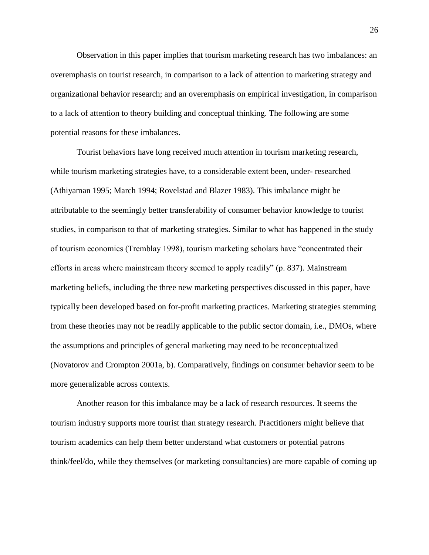Observation in this paper implies that tourism marketing research has two imbalances: an overemphasis on tourist research, in comparison to a lack of attention to marketing strategy and organizational behavior research; and an overemphasis on empirical investigation, in comparison to a lack of attention to theory building and conceptual thinking. The following are some potential reasons for these imbalances.

Tourist behaviors have long received much attention in tourism marketing research, while tourism marketing strategies have, to a considerable extent been, under- researched (Athiyaman 1995; March 1994; Rovelstad and Blazer 1983). This imbalance might be attributable to the seemingly better transferability of consumer behavior knowledge to tourist studies, in comparison to that of marketing strategies. Similar to what has happened in the study of tourism economics (Tremblay 1998), tourism marketing scholars have "concentrated their efforts in areas where mainstream theory seemed to apply readily"  $(p. 837)$ . Mainstream marketing beliefs, including the three new marketing perspectives discussed in this paper, have typically been developed based on for-profit marketing practices. Marketing strategies stemming from these theories may not be readily applicable to the public sector domain, i.e., DMOs, where the assumptions and principles of general marketing may need to be reconceptualized (Novatorov and Crompton 2001a, b). Comparatively, findings on consumer behavior seem to be more generalizable across contexts.

Another reason for this imbalance may be a lack of research resources. It seems the tourism industry supports more tourist than strategy research. Practitioners might believe that tourism academics can help them better understand what customers or potential patrons think/feel/do, while they themselves (or marketing consultancies) are more capable of coming up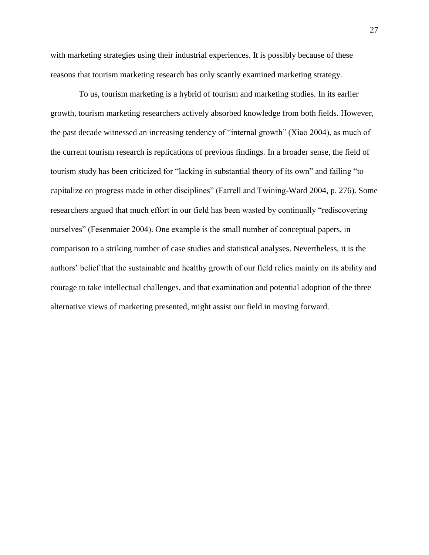with marketing strategies using their industrial experiences. It is possibly because of these reasons that tourism marketing research has only scantly examined marketing strategy.

To us, tourism marketing is a hybrid of tourism and marketing studies. In its earlier growth, tourism marketing researchers actively absorbed knowledge from both fields. However, the past decade witnessed an increasing tendency of "internal growth" (Xiao 2004), as much of the current tourism research is replications of previous findings. In a broader sense, the field of tourism study has been criticized for "lacking in substantial theory of its own" and failing "to capitalize on progress made in other disciplines" (Farrell and Twining-Ward 2004, p. 276). Some researchers argued that much effort in our field has been wasted by continually "rediscovering ourselves" (Fesenmaier 2004). One example is the small number of conceptual papers, in comparison to a striking number of case studies and statistical analyses. Nevertheless, it is the authors' belief that the sustainable and healthy growth of our field relies mainly on its ability and courage to take intellectual challenges, and that examination and potential adoption of the three alternative views of marketing presented, might assist our field in moving forward.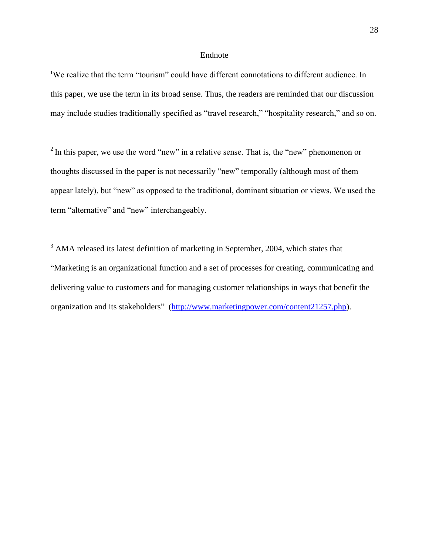# Endnote

<sup>1</sup>We realize that the term "tourism" could have different connotations to different audience. In this paper, we use the term in its broad sense. Thus, the readers are reminded that our discussion may include studies traditionally specified as "travel research," "hospitality research," and so on.

 $2 \text{ In this paper, we use the word "new" in a relative sense. That is, the "new" phenomenon or$ thoughts discussed in the paper is not necessarily "new" temporally (although most of them appear lately), but "new" as opposed to the traditional, dominant situation or views. We used the term "alternative" and "new" interchangeably.

<sup>3</sup> AMA released its latest definition of marketing in September, 2004, which states that ―Marketing is an organizational function and a set of processes for creating, communicating and delivering value to customers and for managing customer relationships in ways that benefit the organization and its stakeholders<sup>"</sup> [\(http://www.marketingpower.com/content21257.php\)](http://www.marketingpower.com/content21257.php).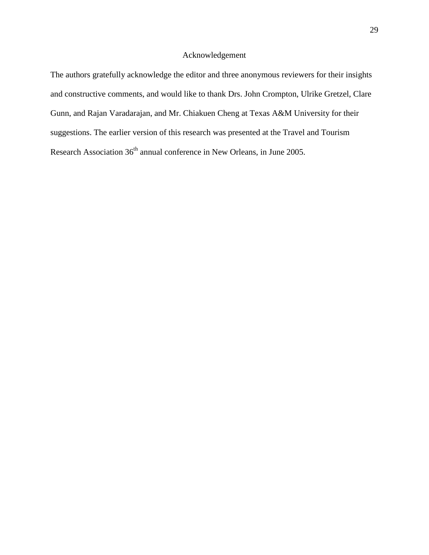# Acknowledgement

The authors gratefully acknowledge the editor and three anonymous reviewers for their insights and constructive comments, and would like to thank Drs. John Crompton, Ulrike Gretzel, Clare Gunn, and Rajan Varadarajan, and Mr. Chiakuen Cheng at Texas A&M University for their suggestions. The earlier version of this research was presented at the Travel and Tourism Research Association 36<sup>th</sup> annual conference in New Orleans, in June 2005.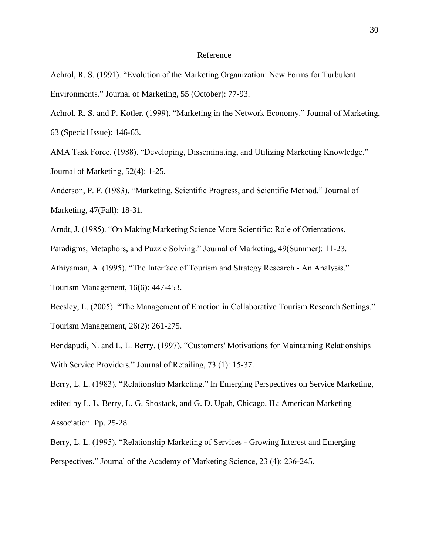## Reference

Achrol, R. S. (1991). "Evolution of the Marketing Organization: New Forms for Turbulent Environments." Journal of Marketing, 55 (October): 77-93.

Achrol, R. S. and P. Kotler. (1999). "Marketing in the Network Economy." Journal of Marketing, 63 (Special Issue): 146-63.

AMA Task Force. (1988). "Developing, Disseminating, and Utilizing Marketing Knowledge." Journal of Marketing, 52(4): 1-25.

Anderson, P. F. (1983). "Marketing, Scientific Progress, and Scientific Method." Journal of Marketing, 47(Fall): 18-31.

Arndt, J. (1985). "On Making Marketing Science More Scientific: Role of Orientations,

Paradigms, Metaphors, and Puzzle Solving." Journal of Marketing, 49(Summer): 11-23.

Athiyaman, A. (1995). "The Interface of Tourism and Strategy Research - An Analysis."

Tourism Management, 16(6): 447-453.

Beesley, L. (2005). "The Management of Emotion in Collaborative Tourism Research Settings." Tourism Management, 26(2): 261-275.

Bendapudi, N. and L. L. Berry. (1997). "Customers' Motivations for Maintaining Relationships With Service Providers." Journal of Retailing, 73 (1): 15-37.

Berry, L. L. (1983). "Relationship Marketing." In Emerging Perspectives on Service Marketing, edited by L. L. Berry, L. G. Shostack, and G. D. Upah, Chicago, IL: American Marketing Association. Pp. 25-28.

Berry, L. L. (1995). "Relationship Marketing of Services - Growing Interest and Emerging Perspectives." Journal of the Academy of Marketing Science, 23 (4): 236-245.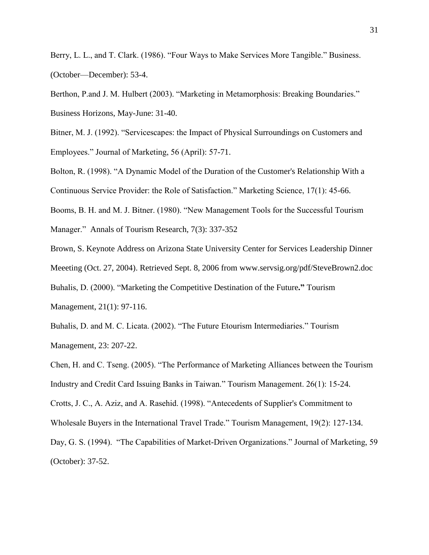Berry, L. L., and T. Clark. (1986). "Four Ways to Make Services More Tangible." Business. (October—December): 53-4.

Berthon, P.and J. M. Hulbert (2003). "Marketing in Metamorphosis: Breaking Boundaries." Business Horizons, May-June: 31-40.

Bitner, M. J. (1992). "Servicescapes: the Impact of Physical Surroundings on Customers and Employees." Journal of Marketing, 56 (April): 57-71.

Bolton, R. (1998). "A Dynamic Model of the Duration of the Customer's Relationship With a

Continuous Service Provider: the Role of Satisfaction." Marketing Science, 17(1): 45-66.

Booms, B. H. and M. J. Bitner. (1980). "New Management Tools for the Successful Tourism Manager." Annals of Tourism Research, 7(3): 337-352

Brown, S. Keynote Address on Arizona State University Center for Services Leadership Dinner

Meeeting (Oct. 27, 2004). Retrieved Sept. 8, 2006 from www.servsig.org/pdf/SteveBrown2.doc

Buhalis, D. (2000). "Marketing the Competitive Destination of the Future." Tourism

Management, 21(1): 97-116.

Buhalis, D. and M. C. Licata. (2002). "The Future Etourism Intermediaries." Tourism Management, 23: 207-22.

Chen, H. and C. Tseng. (2005). "The Performance of Marketing Alliances between the Tourism Industry and Credit Card Issuing Banks in Taiwan.‖ Tourism Management. 26(1): 15-24.

Crotts, J. C., A. Aziz, and A. Rasehid. (1998). "Antecedents of Supplier's Commitment to Wholesale Buyers in the International Travel Trade." Tourism Management, 19(2): 127-134.

Day, G. S. (1994). "The Capabilities of Market-Driven Organizations." Journal of Marketing, 59 (October): 37-52.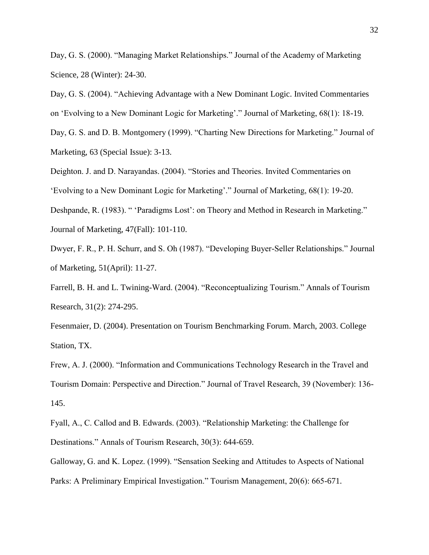Day, G. S. (2000). "Managing Market Relationships." Journal of the Academy of Marketing Science, 28 (Winter): 24-30.

Day, G. S. (2004). "Achieving Advantage with a New Dominant Logic. Invited Commentaries on 'Evolving to a New Dominant Logic for Marketing'." Journal of Marketing, 68(1): 18-19.

Day, G. S. and D. B. Montgomery (1999). "Charting New Directions for Marketing." Journal of Marketing, 63 (Special Issue): 3-13.

Deighton. J. and D. Narayandas. (2004). "Stories and Theories. Invited Commentaries on

‗Evolving to a New Dominant Logic for Marketing'.‖ Journal of Marketing, 68(1): 19-20.

Deshpande, R. (1983). " 'Paradigms Lost': on Theory and Method in Research in Marketing." Journal of Marketing, 47(Fall): 101-110.

Dwyer, F. R., P. H. Schurr, and S. Oh (1987). "Developing Buyer-Seller Relationships." Journal of Marketing, 51(April): 11-27.

Farrell, B. H. and L. Twining-Ward. (2004). "Reconceptualizing Tourism." Annals of Tourism Research, 31(2): 274-295.

Fesenmaier, D. (2004). Presentation on Tourism Benchmarking Forum. March, 2003. College Station, TX.

Frew, A. J. (2000). "Information and Communications Technology Research in the Travel and Tourism Domain: Perspective and Direction." Journal of Travel Research, 39 (November): 136-145.

Fyall, A., C. Callod and B. Edwards. (2003). "Relationship Marketing: the Challenge for Destinations." Annals of Tourism Research, 30(3): 644-659.

Galloway, G. and K. Lopez. (1999). "Sensation Seeking and Attitudes to Aspects of National Parks: A Preliminary Empirical Investigation." Tourism Management, 20(6): 665-671.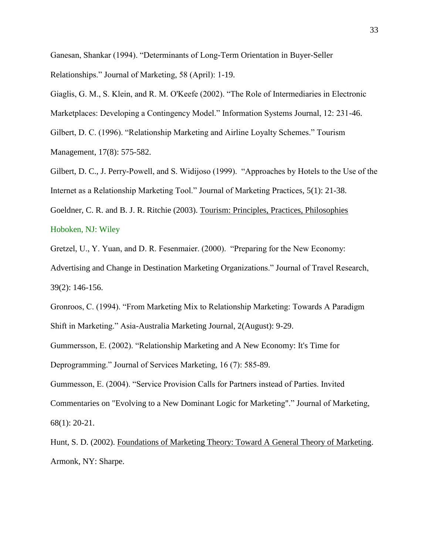Ganesan, Shankar (1994). "Determinants of Long-Term Orientation in Buyer-Seller Relationships." Journal of Marketing, 58 (April): 1-19.

Giaglis, G. M., S. Klein, and R. M. O'Keefe (2002). "The Role of Intermediaries in Electronic Marketplaces: Developing a Contingency Model." Information Systems Journal, 12: 231-46. Gilbert, D. C. (1996). "Relationship Marketing and Airline Loyalty Schemes." Tourism Management, 17(8): 575-582.

Gilbert, D. C., J. Perry-Powell, and S. Widijoso (1999). "Approaches by Hotels to the Use of the Internet as a Relationship Marketing Tool." Journal of Marketing Practices, 5(1): 21-38.

Goeldner, C. R. and B. J. R. Ritchie (2003). Tourism: Principles, Practices, Philosophies

# Hoboken, NJ: Wiley

Gretzel, U., Y. Yuan, and D. R. Fesenmaier. (2000). "Preparing for the New Economy: Advertising and Change in Destination Marketing Organizations." Journal of Travel Research, 39(2): 146-156.

Gronroos, C. (1994). "From Marketing Mix to Relationship Marketing: Towards A Paradigm Shift in Marketing." Asia-Australia Marketing Journal, 2(August): 9-29.

Gummersson, E. (2002). "Relationship Marketing and A New Economy: It's Time for

Deprogramming." Journal of Services Marketing, 16 (7): 585-89.

Gummesson, E. (2004). "Service Provision Calls for Partners instead of Parties. Invited Commentaries on "Evolving to a New Dominant Logic for Marketing"." Journal of Marketing, 68(1): 20-21.

Hunt, S. D. (2002). Foundations of Marketing Theory: Toward A General Theory of Marketing. Armonk, NY: Sharpe.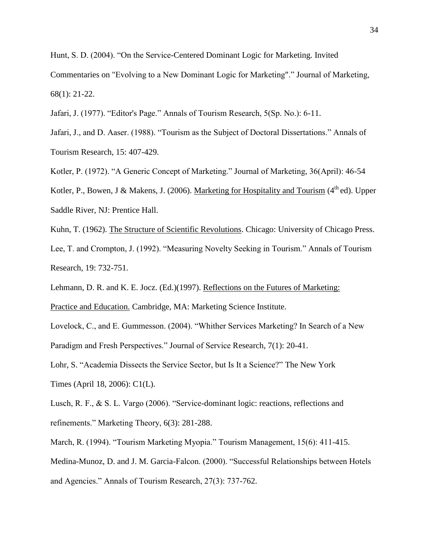Hunt, S. D. (2004). "On the Service-Centered Dominant Logic for Marketing. Invited Commentaries on "Evolving to a New Dominant Logic for Marketing"." Journal of Marketing, 68(1): 21-22.

Jafari, J. (1977). "Editor's Page." Annals of Tourism Research, 5(Sp. No.): 6-11.

Jafari, J., and D. Aaser. (1988). "Tourism as the Subject of Doctoral Dissertations." Annals of Tourism Research, 15: 407-429.

Kotler, P. (1972). "A Generic Concept of Marketing." Journal of Marketing, 36(April): 46-54

Kotler, P., Bowen, J & Makens, J. (2006). Marketing for Hospitality and Tourism ( $4<sup>th</sup>$ ed). Upper Saddle River, NJ: Prentice Hall.

Kuhn, T. (1962). The Structure of Scientific Revolutions. Chicago: University of Chicago Press. Lee, T. and Crompton, J. (1992). "Measuring Novelty Seeking in Tourism." Annals of Tourism Research, 19: 732-751.

Lehmann, D. R. and K. E. Jocz. (Ed.)(1997). Reflections on the Futures of Marketing:

Practice and Education. Cambridge, MA: Marketing Science Institute.

Lovelock, C., and E. Gummesson. (2004). "Whither Services Marketing? In Search of a New Paradigm and Fresh Perspectives." Journal of Service Research, 7(1): 20-41.

Lohr, S. "Academia Dissects the Service Sector, but Is It a Science?" The New York Times (April 18, 2006): C1(L).

Lusch, R. F., & S. L. Vargo (2006). "Service-dominant logic: reactions, reflections and refinements." Marketing Theory, 6(3): 281-288.

March, R. (1994). "Tourism Marketing Myopia." Tourism Management, 15(6): 411-415. Medina-Munoz, D. and J. M. Garcia-Falcon. (2000). "Successful Relationships between Hotels and Agencies." Annals of Tourism Research, 27(3): 737-762.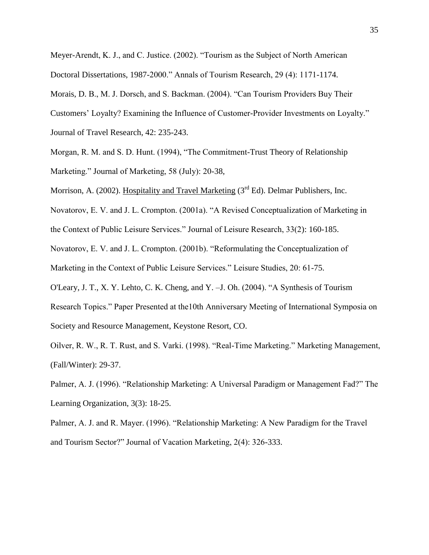Meyer-Arendt, K. J., and C. Justice. (2002). "Tourism as the Subject of North American Doctoral Dissertations, 1987-2000." Annals of Tourism Research, 29 (4): 1171-1174.

Morais, D. B., M. J. Dorsch, and S. Backman. (2004). "Can Tourism Providers Buy Their Customers' Loyalty? Examining the Influence of Customer-Provider Investments on Loyalty." Journal of Travel Research, 42: 235-243.

Morgan, R. M. and S. D. Hunt. (1994), "The Commitment-Trust Theory of Relationship Marketing." Journal of Marketing, 58 (July): 20-38,

Morrison, A. (2002). Hospitality and Travel Marketing  $(3<sup>rd</sup> Ed)$ . Delmar Publishers, Inc.

Novatorov, E. V. and J. L. Crompton. (2001a). "A Revised Conceptualization of Marketing in

the Context of Public Leisure Services." Journal of Leisure Research, 33(2): 160-185.

Novatorov, E. V. and J. L. Crompton. (2001b). "Reformulating the Conceptualization of

Marketing in the Context of Public Leisure Services." Leisure Studies, 20: 61-75.

O'Leary, J. T., X. Y. Lehto, C. K. Cheng, and Y. – J. Oh. (2004). "A Synthesis of Tourism

Research Topics." Paper Presented at the 10th Anniversary Meeting of International Symposia on Society and Resource Management, Keystone Resort, CO.

Oilver, R. W., R. T. Rust, and S. Varki. (1998). "Real-Time Marketing." Marketing Management, (Fall/Winter): 29-37.

Palmer, A. J. (1996). "Relationship Marketing: A Universal Paradigm or Management Fad?" The Learning Organization, 3(3): 18-25.

Palmer, A. J. and R. Mayer. (1996). "Relationship Marketing: A New Paradigm for the Travel and Tourism Sector?" Journal of Vacation Marketing, 2(4): 326-333.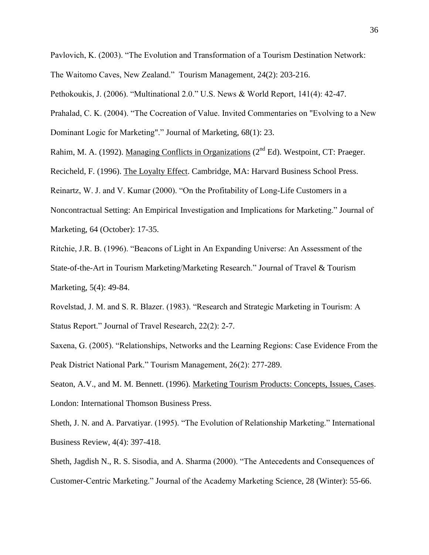Pavlovich, K. (2003). "The Evolution and Transformation of a Tourism Destination Network:

The Waitomo Caves, New Zealand." Tourism Management, 24(2): 203-216.

Pethokoukis, J. (2006). "Multinational 2.0." U.S. News & World Report, 141(4): 42-47.

Prahalad, C. K. (2004). "The Cocreation of Value. Invited Commentaries on "Evolving to a New

Dominant Logic for Marketing"." Journal of Marketing, 68(1): 23.

Rahim, M. A. (1992). Managing Conflicts in Organizations (2<sup>nd</sup> Ed). Westpoint, CT: Praeger.

Recicheld, F. (1996). The Loyalty Effect. Cambridge, MA: Harvard Business School Press.

Reinartz, W. J. and V. Kumar (2000). "On the Profitability of Long-Life Customers in a

Noncontractual Setting: An Empirical Investigation and Implications for Marketing." Journal of Marketing, 64 (October): 17-35.

Ritchie, J.R. B. (1996). "Beacons of Light in An Expanding Universe: An Assessment of the State-of-the-Art in Tourism Marketing/Marketing Research." Journal of Travel & Tourism Marketing, 5(4): 49-84.

Rovelstad, J. M. and S. R. Blazer. (1983). "Research and Strategic Marketing in Tourism: A Status Report." Journal of Travel Research, 22(2): 2-7.

Saxena, G. (2005). "Relationships, Networks and the Learning Regions: Case Evidence From the Peak District National Park." Tourism Management, 26(2): 277-289.

Seaton, A.V., and M. M. Bennett. (1996). Marketing Tourism Products: Concepts, Issues, Cases. London: International Thomson Business Press.

Sheth, J. N. and A. Parvatiyar. (1995). "The Evolution of Relationship Marketing." International Business Review, 4(4): 397-418.

Sheth, Jagdish N., R. S. Sisodia, and A. Sharma (2000). "The Antecedents and Consequences of Customer-Centric Marketing." Journal of the Academy Marketing Science, 28 (Winter): 55-66.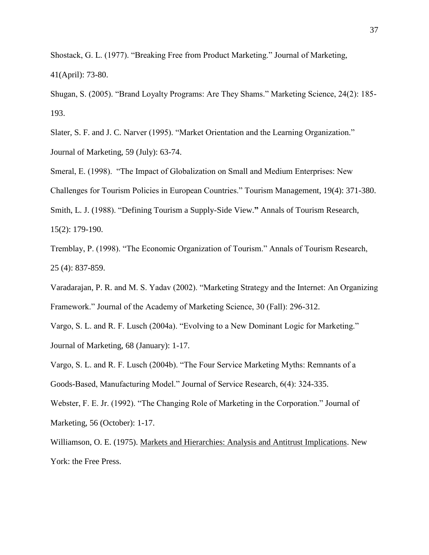Shostack, G. L. (1977). "Breaking Free from Product Marketing." Journal of Marketing, 41(April): 73-80.

Shugan, S. (2005). "Brand Loyalty Programs: Are They Shams." Marketing Science, 24(2): 185-193.

Slater, S. F. and J. C. Narver (1995). "Market Orientation and the Learning Organization." Journal of Marketing, 59 (July): 63-74.

Smeral, E. (1998). "The Impact of Globalization on Small and Medium Enterprises: New

Challenges for Tourism Policies in European Countries.‖ Tourism Management, 19(4): 371-380.

Smith, L. J. (1988). "Defining Tourism a Supply-Side View." Annals of Tourism Research, 15(2): 179-190.

Tremblay, P. (1998). "The Economic Organization of Tourism." Annals of Tourism Research, 25 (4): 837-859.

Varadarajan, P. R. and M. S. Yadav (2002). "Marketing Strategy and the Internet: An Organizing Framework." Journal of the Academy of Marketing Science, 30 (Fall): 296-312.

Vargo, S. L. and R. F. Lusch (2004a). "Evolving to a New Dominant Logic for Marketing." Journal of Marketing, 68 (January): 1-17.

Vargo, S. L. and R. F. Lusch (2004b). "The Four Service Marketing Myths: Remnants of a Goods-Based, Manufacturing Model." Journal of Service Research, 6(4): 324-335.

Webster, F. E. Jr. (1992). "The Changing Role of Marketing in the Corporation." Journal of Marketing, 56 (October): 1-17.

Williamson, O. E. (1975). Markets and Hierarchies: Analysis and Antitrust Implications. New York: the Free Press.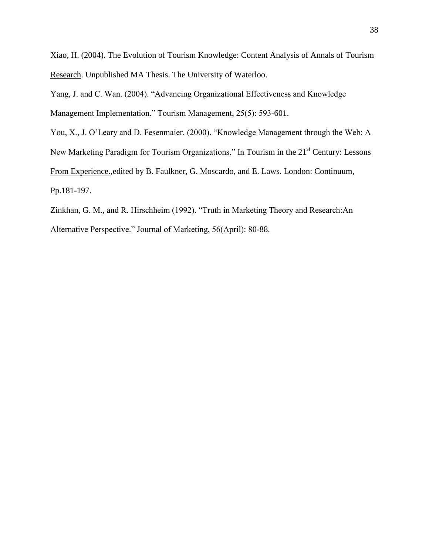Xiao, H. (2004). The Evolution of Tourism Knowledge: Content Analysis of Annals of Tourism Research. Unpublished MA Thesis. The University of Waterloo.

Yang, J. and C. Wan. (2004). "Advancing Organizational Effectiveness and Knowledge Management Implementation." Tourism Management, 25(5): 593-601.

You, X., J. O'Leary and D. Fesenmaier. (2000). "Knowledge Management through the Web: A New Marketing Paradigm for Tourism Organizations." In Tourism in the 21<sup>st</sup> Century: Lessons From Experience.,edited by B. Faulkner, G. Moscardo, and E. Laws. London: Continuum, Pp.181-197.

Zinkhan, G. M., and R. Hirschheim (1992). "Truth in Marketing Theory and Research:An Alternative Perspective." Journal of Marketing, 56(April): 80-88.